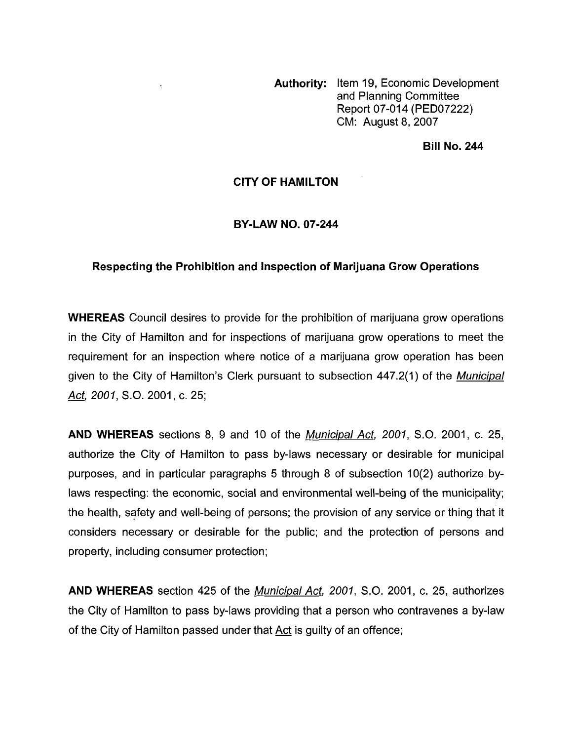**Authority:** Item 19, Economic Development and Planning Committee Report 07-014 (PED07222) CM: August 8,2007

### **Bill No. 244**

### **CITY OF HAMILTON**

 $\ddot{\cdot}$ 

#### **BY-LAW NO. 07-244**

## **Respecting the Prohibition and Inspection of Marijuana Grow Operations**

**WHEREAS** Council desires to provide for the prohibition of marijuana grow operations in the City of Hamilton and for inspections of marijuana grow operations to meet the requirement for an inspection where notice of a marijuana grow operation has been given to the City of Hamilton's Clerk pursuant to subsection 447.2(1) of the *Municipal Act, 2001, S.O.* 2001, c. 25;

**AND WHEREAS** sections 8, 9 and 10 of the *Municipal Act, 2001, S.O.* 2001, c. 25, authorize the City of Hamilton to pass by-laws necessary or desirable for municipal purposes, and in particular paragraphs 5 through 8 of subsection 10(2) authorize bylaws respecting: the economic, social and environmental well-being of the municipality; the health, safety and well-being of persons; the provision of any service or thing that it considers necessary or desirable for the public; and the protection of persons and property, including consumer protection;

**AND WHEREAS** section 425 of the *Municipal Act, 2001, S.O.* 2001, c. 25, authorizes the City of Hamilton to pass by-laws providing that a person who contravenes a by-law of the City of Hamilton passed under that Act is guilty of an offence;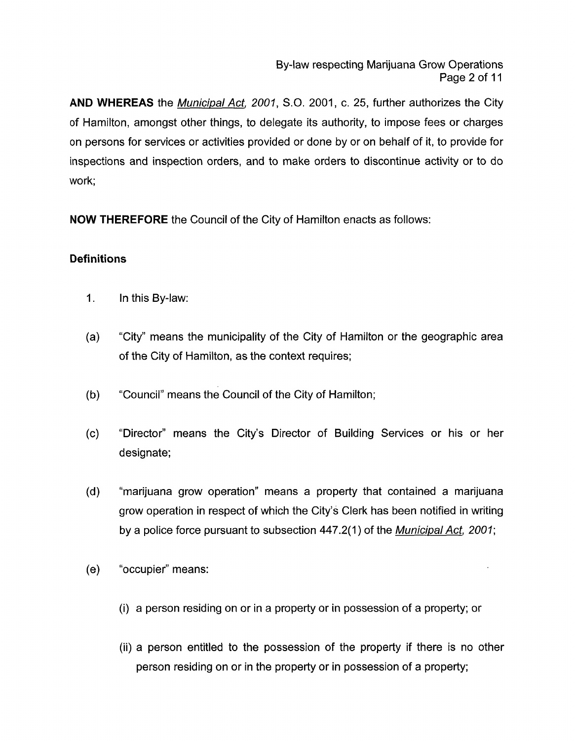**AND WHEREAS** the *Municipal Act, 2001, S.O.* 2001, c. 25, further authorizes the City of Hamilton, amongst other things, to delegate its authority, to impose fees or charges on persons for services or activities provided or done by or on behalf of it, to provide for inspections and inspection orders, and to make orders to discontinue activity or to do work;

**NOW THEREFORE** the Council of the City of Hamilton enacts as follows:

# **Definitions**

- $1<sub>1</sub>$ In this By-law:
- $(a)$ 'City" means the municipality of the City of Hamilton or the geographic area of the City of Hamilton, as the context requires;
- $(b)$ "Council" means the Council of the City of Hamilton;
- "Director" means the City's Director of Building Services or his or her  $(c)$ designate;
- $(d)$ "marijuana grow operation" means a property that contained a marijuana grow operation in respect of which the City's Clerk has been notified in writing by a police force pursuant to subsection 447.2(1) of the *Municipal Act, 2001;*
- $(e)$ "occupier" means:
	- (i) a person residing on or in a property or in possession of a property; or
	- (ii) a person entitled to the possession of the property if there is no other person residing on or in the property or in possession of a property;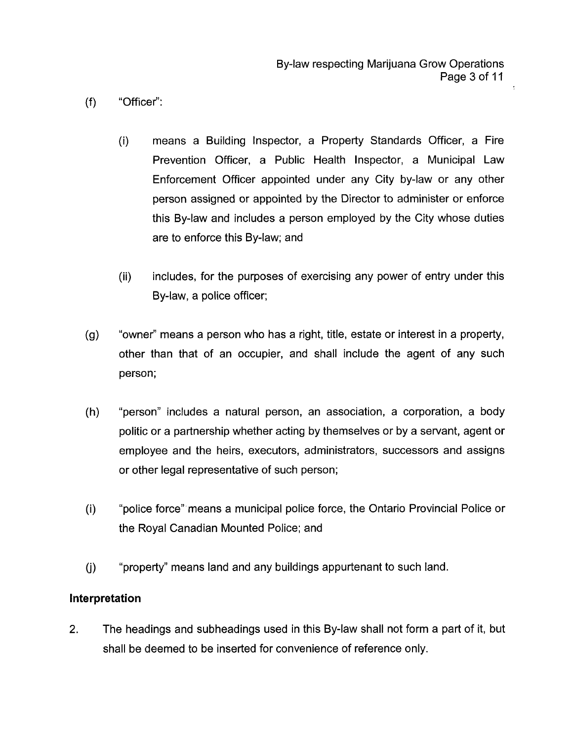- $(f)$ "Officer":
	- (i) means a Building Inspector, a Property Standards Officer, a Fire Prevention Officer, a Public Health Inspector, a Municipal Law Enforcement Officer appointed under any City by-law or any other person assigned or appointed by the Director to administer or enforce this By-law and includes a person employed by the City whose duties are to enforce this By-law; and
	- (ii) includes, for the purposes of exercising any power of entry under this By-law, a police officer;
- "owner" means a person who has a right, title, estate or interest in a property,  $(g)$ other than that of an occupier, and shall include the agent of any such person;
- "person" includes a natural person, an association, a corporation, a body  $(h)$ politic or a partnership whether acting by themselves or by a servant, agent or employee and the heirs, executors, administrators, successors and assigns or other legal representative of such person;
- $(i)$ "police force" means a municipal police force, the Ontario Provincial Police or the Royal Canadian Mounted Police; and
- "property" means land and any buildings appurtenant to such land.  $(i)$

## **Interpretation**

2. The headings and subheadings used in this By-law shall not form a part of it, but shall be deemed to be inserted for convenience of reference only.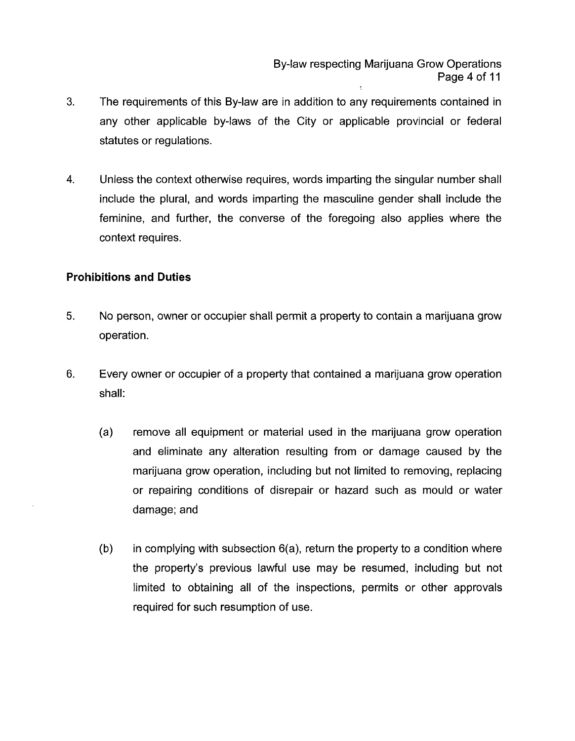By-law respecting Marijuana Grow Operations Page **4** of 11

- **3.** The requirements of this By-law are in addition to any requirements contained in any other applicable by-laws of the City or applicable provincial or federal statutes or regulations.
- **4.** Unless the context otherwise requires, words imparting the singular number shall include the plural, and words imparting the masculine gender shall include the feminine, and further, the converse of the foregoing also applies where the context requires.

### **Prohibitions and Duties**

- **5.** No person, owner or occupier shall permit a property to contain a marijuana grow operation.
- 6. Every owner or occupier of a property that contained a marijuana grow operation shall:
	- (a) remove all equipment or material used in the marijuana grow operation and eliminate any alteration resulting from or damage caused by the marijuana grow operation, including but not limited to removing, replacing or repairing conditions of disrepair or hazard such as mould or water damage; and
	- **(b)** in complying with subsection 6(a), return the property to a condition where the property's previous lawful use may be resumed, including but not limited to obtaining all of the inspections, permits or other approvals required for such resumption of use.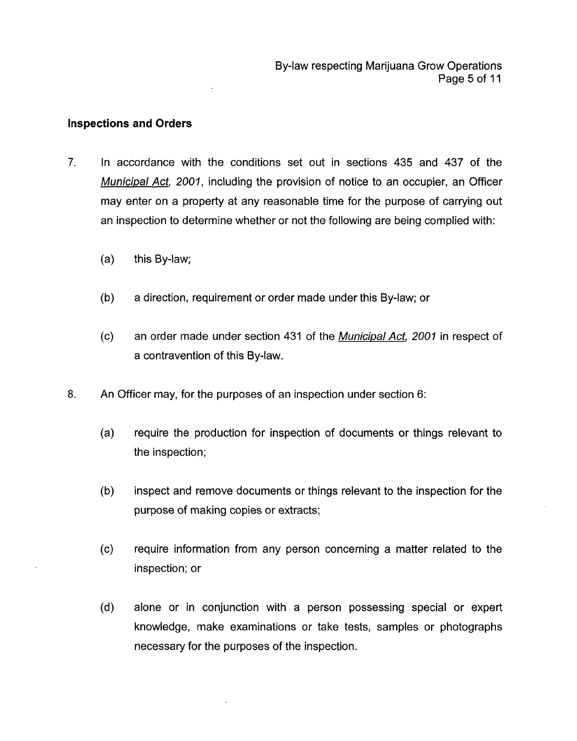### **Inspections and Orders**

 $\overline{z}$ 

- 7. In accordance with the conditions set out in sections 435 and 437 of the *Municipal Act, 2001,* including the provision of notice to an occupier, an Officer may enter on a property at any reasonable time for the purpose of carrying out an inspection to determine whether or not the following are being complied with:
	- (a) this By-law;
	- (b) a direction, requirement or order made under this By-law; or
	- (c) an order made under section 431 of the *Municipal Acf, 2001* in respect of a contravention of this By-law.
- 8. An Officer may, for the purposes of an inspection under section 6:
	- $(a)$ require the production for inspection of documents or things relevant to the inspection;
	- $(b)$ inspect and remove documents or things relevant to the inspection for the purpose of making copies or extracts;
	- $(c)$ require information from any person concerning a matter related to the inspection; or
	- $(d)$ alone or in conjunction with a person possessing special or expert knowledge, make examinations or take tests, samples or photographs necessary for the purposes of the inspection.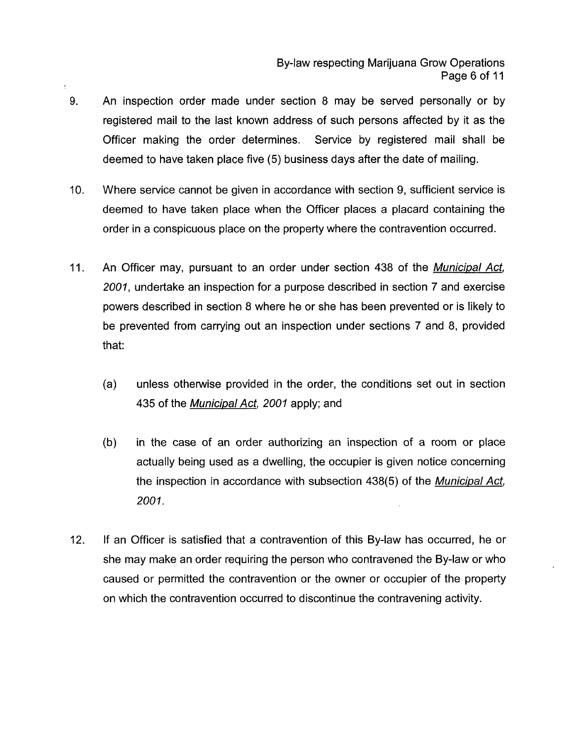- An inspection order made under section 8 may be served personally or by registered mail to the last known address of such persons affected by it as the Officer making the order determines. Service by registered mail shall be deemed to have taken place five (5) business days after the date of mailing. 9.
- 10. Where service cannot be given in accordance with section 9, sufficient service is deemed to have taken place when the Officer places a placard containing the order in a conspicuous place on the property where the contravention occurred.
- 11. An Officer may, pursuant to an order under section 438 of the *Municipal Act, 2001,* undertake an inspection for a purpose described in section 7 and exercise powers described in section 8 where he or she has been prevented or is likely to be prevented from carrying out an inspection under sections 7 and 8, provided that:
	- (a) unless otherwise provided in the order, the conditions set out in section 435 of the *Municipal Act, 2001* apply; and
	- (b) in the case of an order authorizing an inspection of a room or place actually being used as a dwelling, the occupier is given notice concerning the inspection in accordance with subsection 438(5) of the *Municipal Act, 2001.*
- 12. If an Officer is satisfied that a contravention of this By-law has occurred, he or she may make an order requiring the person who contravened the By-law or who caused or permitted the contravention or the owner or occupier of the property on which the contravention occurred to discontinue the contravening activity.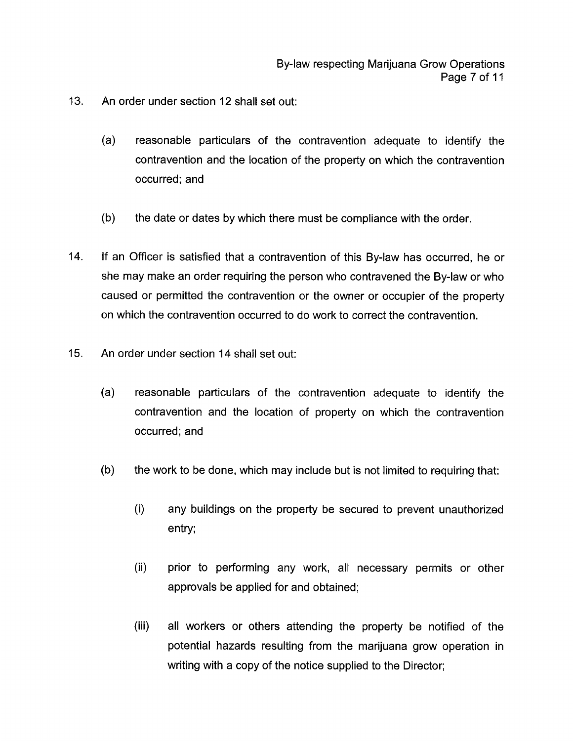- **13.**  An order under section 12 shall set out:
	- (a) reasonable particulars of the contravention adequate to identify the contravention and the location of the property on which the contravention occurred; and
	- (b) the date or dates by which there must be compliance with the order.
- 14. If an Officer is satisfied that a contravention of this By-law has occurred, he or she may make an order requiring the person who contravened the By-law or who caused or permitted the contravention or the owner or occupier of the property on which the contravention occurred to do work to correct the contravention.
- 15. An order under section 14 shall set out:
	- (a) reasonable particulars of the contravention adequate to identify the contravention and the location of property on which the contravention occurred; and
	- (b) the work to be done, which may include but is not limited to requiring that:
		- $(i)$ any buildings on the property be secured to prevent unauthorized entry;
		- (ii) prior to performing any work, all necessary permits or other approvals be applied for and obtained;
		- (iii) all workers or others attending the property be notified of the potential hazards resulting from the marijuana grow operation in writing with a copy of the notice supplied to the Director;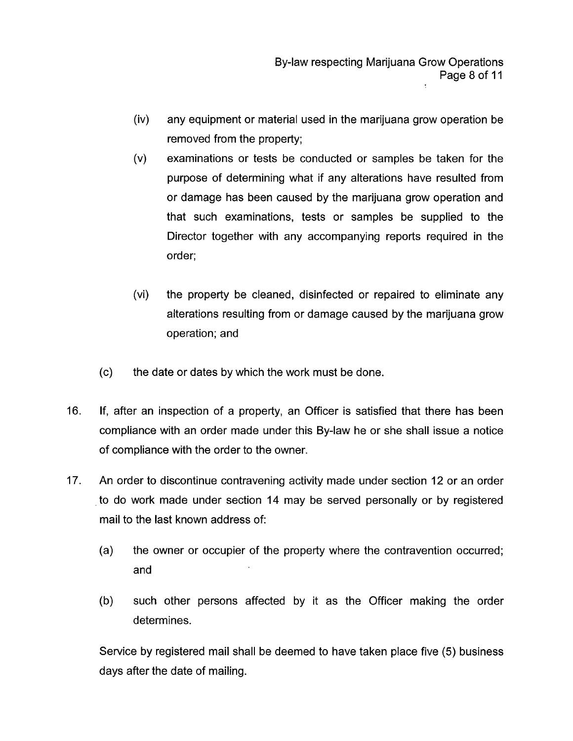- (iv) any equipment or material used in the marijuana grow operation be removed from the property;
- examinations or tests be conducted or samples be taken for the purpose of determining what if any alterations have resulted from or damage has been caused by the marijuana grow operation and that such examinations, tests or samples be supplied to the Director together with any accompanying reports required in the order; (v)
- (vi) the property be cleaned, disinfected or repaired to eliminate any alterations resulting from or damage caused by the marijuana grow operation; and
- (c) the date or dates by which the work must be done.
- 16. If, after an inspection of a property, an Officer is satisfied that there has been compliance with an order made under this By-law he or she shall issue a notice of compliance with the order to the owner.
- 17. An order to discontinue contravening activity made under section 12 or an order to do work made under section 14 may be served personally or by registered mail to the last known address of:
	- (a) the owner or occupier of the property where the contravention occurred; and
	- (b) such other persons affected by it as the Officer making the order determines.

Service by registered mail shall be deemed to have taken place five (5) business days after the date of mailing.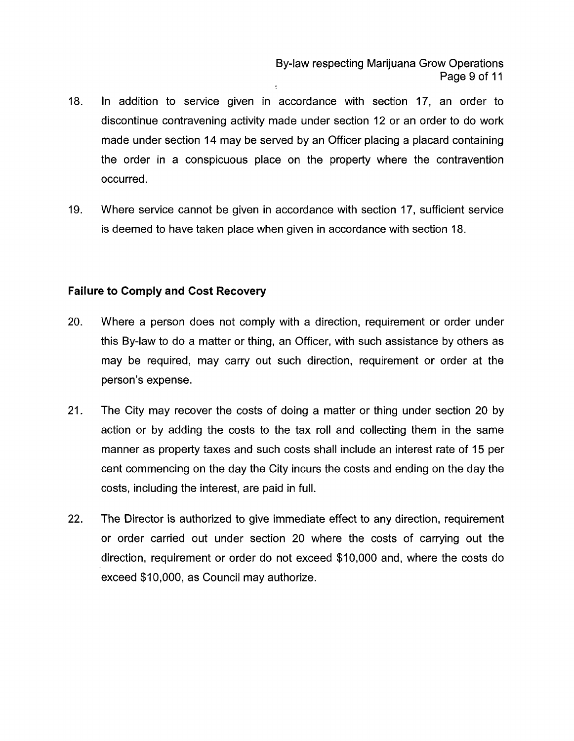- 18. In addition to service given in accordance with section 17, an order to discontinue contravening activity made under section 12 or an order to do work made under section **14** may be served by an Officer placing a placard containing the order in a conspicuous place on the property where the contravention occurred.
- 19. Where service cannot be given in accordance with section 17, sufficient service is deemed to have taken place when given in accordance with section 18.

## **Failure to Comply and Cost Recovery**

- $20.$ Where a person does not comply with a direction, requirement or order under this By-law to do a matter or thing, an Officer, with such assistance by others as may be required, may carry out such direction, requirement or order at the person's expense.
- $21.$ The City may recover the costs of doing a matter or thing under section 20 by action or by adding the costs to the tax roll and collecting them in the same manner as property taxes and such costs shall include an interest rate of 15 per cent commencing on the day the City incurs the costs and ending on the day the costs, including the interest, are paid in full.
- $22.$ The Director is authorized to give immediate effect to any direction, requirement or order carried out under section 20 where the costs of carrying out the direction, requirement or order do not exceed \$10,000 and, where the costs do exceed \$10,000, as Council may authorize.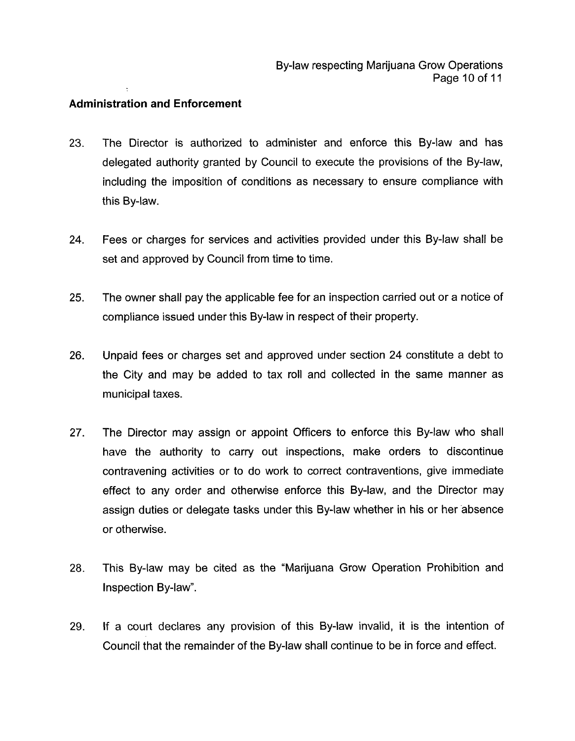## **Administration and Enforcement**

- 23. The Director is authorized to administer and enforce this By-law and has delegated authority granted by Council to execute the provisions of the By-law, including the imposition of conditions as necessary to ensure compliance with this By-law.
- 24. Fees or charges for services and activities provided under this By-law shall be set and approved by Council from time to time.
- 25. The owner shall pay the applicable fee for an inspection carried out or a notice of compliance issued under this By-law in respect of their property.
- 26. Unpaid fees or charges set and approved under section 24 constitute a debt to the City and may be added to tax roll and collected in the same manner as municipal taxes.
- 27. The Director may assign or appoint Officers to enforce this By-law who shall have the authority to carry out inspections, make orders to discontinue contravening activities or to do work to correct contraventions, give immediate effect to any order and otherwise enforce this By-law, and the Director may assign duties or delegate tasks under this By-law whether in his or her absence or otherwise.
- 28. This By-law may be cited as the "Marijuana Grow Operation Prohibition and Inspection By-law".
- 29. If a court declares any provision of this By-law invalid, it is the intention of Council that the remainder of the By-law shall continue to be in force and effect.